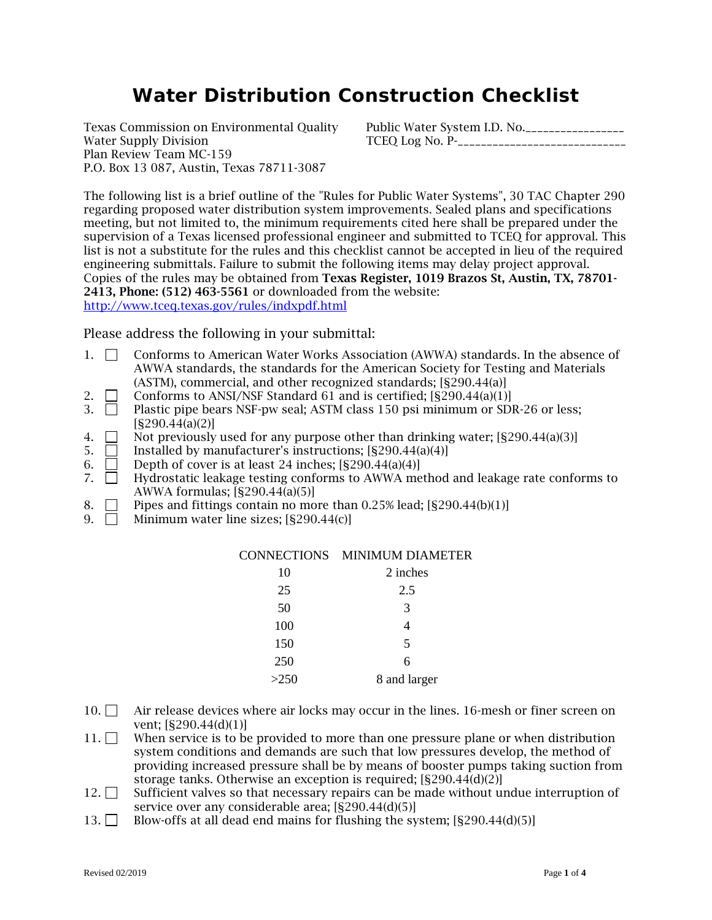# **Water Distribution Construction Checklist**

Plan Review Team MC-159 P.O. Box 13 087, Austin, Texas 78711-3087

Texas Commission on Environmental Quality Public Water System I.D. No.<br>Water Supply Division TCEO Log No. P-Water Supply Division TCEQ Log No. P-\_\_\_\_\_\_\_\_\_\_\_\_\_\_\_\_\_\_\_\_\_\_\_\_\_\_\_\_\_

The following list is a brief outline of the "Rules for Public Water Systems", 30 TAC Chapter 290 regarding proposed water distribution system improvements. Sealed plans and specifications meeting, but not limited to, the minimum requirements cited here shall be prepared under the supervision of a Texas licensed professional engineer and submitted to TCEQ for approval. This list is not a substitute for the rules and this checklist cannot be accepted in lieu of the required engineering submittals. Failure to submit the following items may delay project approval. Copies of the rules may be obtained from Texas Register, 1019 Brazos St, Austin, TX, 78701- 2413, Phone: (512) 463-5561 or downloaded from the website: <http://www.tceq.texas.gov/rules/indxpdf.html>

Please address the following in your submittal:

- 1. Conforms to American Water Works Association (AWWA) standards. In the absence of AWWA standards, the standards for the American Society for Testing and Materials (ASTM), commercial, and other recognized standards; [§290.44(a)]
- 2.  $\Box$  Conforms to ANSI/NSF Standard 61 and is certified; [§290.44(a)(1)]
- 3.  $\Box$  Plastic pipe bears NSF-pw seal; ASTM class 150 psi minimum or SDR-26 or less;  $[$290.44(a)(2)]$
- 4.  $\Box$  Not previously used for any purpose other than drinking water; [§290.44(a)(3)]
- 5.  $\Box$  Installed by manufacturer's instructions;  $[$290.44(a)(4)]$
- 6.  $\Box$  Depth of cover is at least 24 inches; [§290.44(a)(4)]
- 7.  $\Box$  Hydrostatic leakage testing conforms to AWWA method and leakage rate conforms to AWWA formulas; [§290.44(a)(5)]
- 8. Pipes and fittings contain no more than 0.25% lead;  $[§290.44(b)(1)]$
- 9.  $\Box$  Minimum water line sizes: [§290.44(c)]

| 10   | 2 inches     |
|------|--------------|
| 25   | 2.5          |
| 50   | 3            |
| 100  | 4            |
| 150  | 5            |
| 250  | 6            |
| >250 | 8 and larger |

- $10. \Box$  Air release devices where air locks may occur in the lines. 16-mesh or finer screen on vent; [§290.44(d)(1)]
- $11. \Box$  When service is to be provided to more than one pressure plane or when distribution system conditions and demands are such that low pressures develop, the method of providing increased pressure shall be by means of booster pumps taking suction from storage tanks. Otherwise an exception is required; [§290.44(d)(2)]
- $12. \Box$  Sufficient valves so that necessary repairs can be made without undue interruption of service over any considerable area; [§290.44(d)(5)]
- 13. Blow-offs at all dead end mains for flushing the system;  $[§290.44(d)(5)]$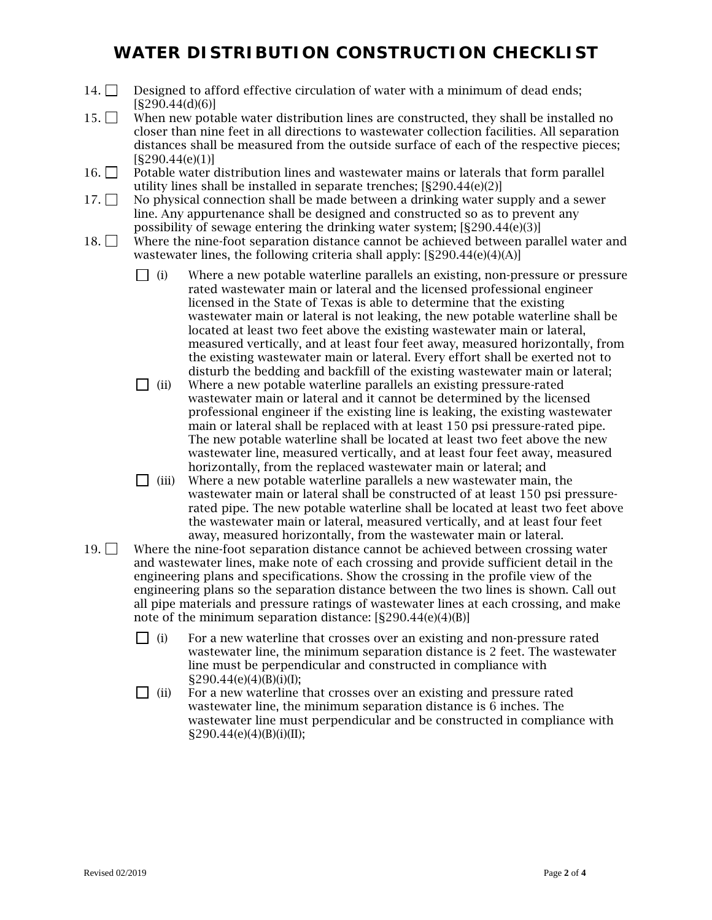### **WATER DISTRIBUTION CONSTRUCTION CHECKLIST**

- 14.  $\Box$  Designed to afford effective circulation of water with a minimum of dead ends; [§290.44(d)(6)]
- $15.$  When new potable water distribution lines are constructed, they shall be installed no closer than nine feet in all directions to wastewater collection facilities. All separation distances shall be measured from the outside surface of each of the respective pieces;  $[$290.44(e)(1)]$
- $16.$  Potable water distribution lines and wastewater mains or laterals that form parallel utility lines shall be installed in separate trenches; [§290.44(e)(2)]
- $17. \Box$  No physical connection shall be made between a drinking water supply and a sewer line. Any appurtenance shall be designed and constructed so as to prevent any possibility of sewage entering the drinking water system; [§290.44(e)(3)]
- 18. Where the nine-foot separation distance cannot be achieved between parallel water and wastewater lines, the following criteria shall apply: [§290.44(e)(4)(A)]
	- $\Box$  (i) Where a new potable waterline parallels an existing, non-pressure or pressure rated wastewater main or lateral and the licensed professional engineer licensed in the State of Texas is able to determine that the existing wastewater main or lateral is not leaking, the new potable waterline shall be located at least two feet above the existing wastewater main or lateral, measured vertically, and at least four feet away, measured horizontally, from the existing wastewater main or lateral. Every effort shall be exerted not to disturb the bedding and backfill of the existing wastewater main or lateral;
	- $\Box$  (ii) Where a new potable waterline parallels an existing pressure-rated wastewater main or lateral and it cannot be determined by the licensed professional engineer if the existing line is leaking, the existing wastewater main or lateral shall be replaced with at least 150 psi pressure-rated pipe. The new potable waterline shall be located at least two feet above the new wastewater line, measured vertically, and at least four feet away, measured horizontally, from the replaced wastewater main or lateral; and
	- $\Box$  (iii) Where a new potable waterline parallels a new wastewater main, the wastewater main or lateral shall be constructed of at least 150 psi pressurerated pipe. The new potable waterline shall be located at least two feet above the wastewater main or lateral, measured vertically, and at least four feet away, measured horizontally, from the wastewater main or lateral.
- 19.  $\Box$  Where the nine-foot separation distance cannot be achieved between crossing water and wastewater lines, make note of each crossing and provide sufficient detail in the engineering plans and specifications. Show the crossing in the profile view of the engineering plans so the separation distance between the two lines is shown. Call out all pipe materials and pressure ratings of wastewater lines at each crossing, and make note of the minimum separation distance: [§290.44(e)(4)(B)]
	- $\Box$  (i) For a new waterline that crosses over an existing and non-pressure rated wastewater line, the minimum separation distance is 2 feet. The wastewater line must be perpendicular and constructed in compliance with  $\S 290.44(e)(4)(B)(i)(I);$
	- $\Box$  (ii) For a new waterline that crosses over an existing and pressure rated wastewater line, the minimum separation distance is 6 inches. The wastewater line must perpendicular and be constructed in compliance with  $\S 290.44(e)(4)(B)(i)(II);$

Revised 02/2019 Page **2** of **4**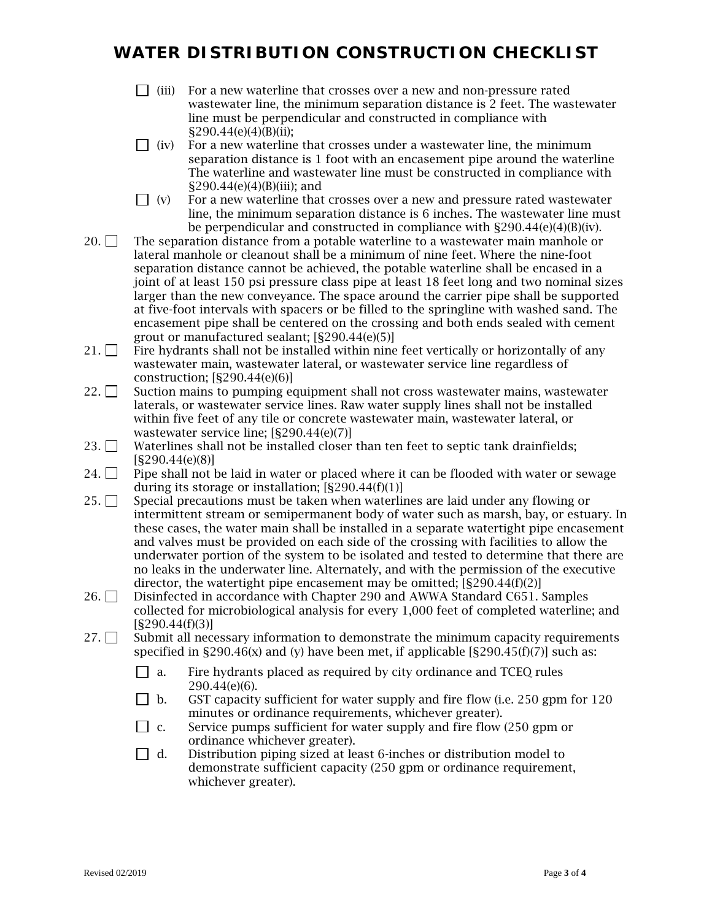### **WATER DISTRIBUTION CONSTRUCTION CHECKLIST**

- $\Box$  (iii) For a new waterline that crosses over a new and non-pressure rated wastewater line, the minimum separation distance is 2 feet. The wastewater line must be perpendicular and constructed in compliance with §290.44(e)(4)(B)(ii);
- $\Box$  (iv) For a new waterline that crosses under a wastewater line, the minimum separation distance is 1 foot with an encasement pipe around the waterline The waterline and wastewater line must be constructed in compliance with  $\S 290.44(e)(4)(B)(iii)$ ; and
- $\Box$  (v) For a new waterline that crosses over a new and pressure rated wastewater line, the minimum separation distance is 6 inches. The wastewater line must be perpendicular and constructed in compliance with  $\S290.44(e)(4)(B)(iv)$ .
- 20.  $\Box$  The separation distance from a potable waterline to a wastewater main manhole or lateral manhole or cleanout shall be a minimum of nine feet. Where the nine-foot separation distance cannot be achieved, the potable waterline shall be encased in a joint of at least 150 psi pressure class pipe at least 18 feet long and two nominal sizes larger than the new conveyance. The space around the carrier pipe shall be supported at five-foot intervals with spacers or be filled to the springline with washed sand. The encasement pipe shall be centered on the crossing and both ends sealed with cement grout or manufactured sealant; [§290.44(e)(5)]
- 21.  $\Box$  Fire hydrants shall not be installed within nine feet vertically or horizontally of any wastewater main, wastewater lateral, or wastewater service line regardless of construction;  $[§290.44(e)(6)]$
- $22. \Box$  Suction mains to pumping equipment shall not cross wastewater mains, wastewater laterals, or wastewater service lines. Raw water supply lines shall not be installed within five feet of any tile or concrete wastewater main, wastewater lateral, or wastewater service line; [§290.44(e)(7)]
- 23. Waterlines shall not be installed closer than ten feet to septic tank drainfields; [§290.44(e)(8)]
- 24.  $\Box$  Pipe shall not be laid in water or placed where it can be flooded with water or sewage during its storage or installation; [§290.44(f)(1)]
- 25.  $\Box$  Special precautions must be taken when waterlines are laid under any flowing or intermittent stream or semipermanent body of water such as marsh, bay, or estuary. In these cases, the water main shall be installed in a separate watertight pipe encasement and valves must be provided on each side of the crossing with facilities to allow the underwater portion of the system to be isolated and tested to determine that there are no leaks in the underwater line. Alternately, and with the permission of the executive director, the watertight pipe encasement may be omitted;  $[8290.44(f)(2)]$
- 26. Disinfected in accordance with Chapter 290 and AWWA Standard C651. Samples collected for microbiological analysis for every 1,000 feet of completed waterline; and  $[$290.44(f)(3)]$
- $27.$  Submit all necessary information to demonstrate the minimum capacity requirements specified in  $\S 290.46(x)$  and (y) have been met, if applicable  $[\S 290.45(f)(7)]$  such as:
	- $\Box$  a. Fire hydrants placed as required by city ordinance and TCEO rules 290.44(e)(6).
	- $\Box$  b. GST capacity sufficient for water supply and fire flow (i.e. 250 gpm for 120 minutes or ordinance requirements, whichever greater).
	- $\Box$  c. Service pumps sufficient for water supply and fire flow (250 gpm or ordinance whichever greater).
	- $\Box$  d. Distribution piping sized at least 6-inches or distribution model to demonstrate sufficient capacity (250 gpm or ordinance requirement, whichever greater).